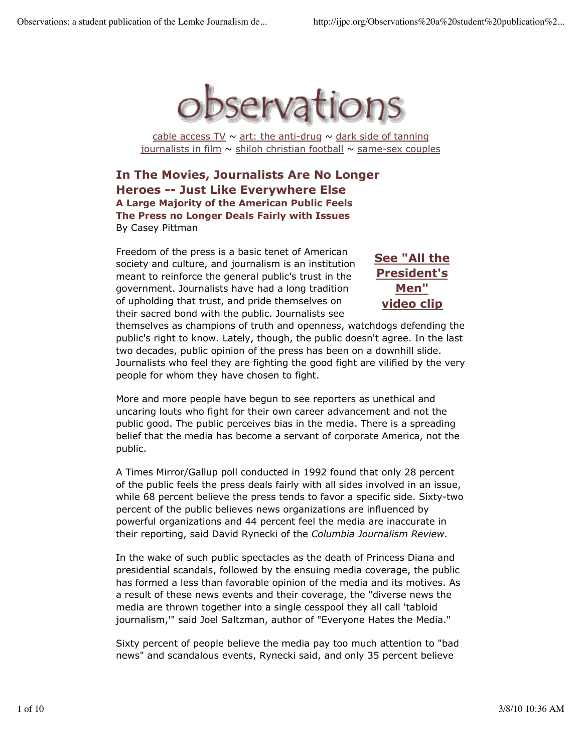

cable access  $TV \sim$  art: the anti-drug  $\sim$  dark side of tanning journalists in film  $\sim$  shiloh christian football  $\sim$  same-sex couples

**In The Movies, Journalists Are No Longer Heroes -- Just Like Everywhere Else A Large Majority of the American Public Feels The Press no Longer Deals Fairly with Issues** By Casey Pittman

Freedom of the press is a basic tenet of American society and culture, and journalism is an institution meant to reinforce the general public's trust in the government. Journalists have had a long tradition of upholding that trust, and pride themselves on their sacred bond with the public. Journalists see

**See "All the President's Men" video clip**

themselves as champions of truth and openness, watchdogs defending the public's right to know. Lately, though, the public doesn't agree. In the last two decades, public opinion of the press has been on a downhill slide. Journalists who feel they are fighting the good fight are vilified by the very people for whom they have chosen to fight.

More and more people have begun to see reporters as unethical and uncaring louts who fight for their own career advancement and not the public good. The public perceives bias in the media. There is a spreading belief that the media has become a servant of corporate America, not the public.

A Times Mirror/Gallup poll conducted in 1992 found that only 28 percent of the public feels the press deals fairly with all sides involved in an issue, while 68 percent believe the press tends to favor a specific side. Sixty-two percent of the public believes news organizations are influenced by powerful organizations and 44 percent feel the media are inaccurate in their reporting, said David Rynecki of the *Columbia Journalism Review*.

In the wake of such public spectacles as the death of Princess Diana and presidential scandals, followed by the ensuing media coverage, the public has formed a less than favorable opinion of the media and its motives. As a result of these news events and their coverage, the "diverse news the media are thrown together into a single cesspool they all call 'tabloid journalism,'" said Joel Saltzman, author of "Everyone Hates the Media."

Sixty percent of people believe the media pay too much attention to "bad news" and scandalous events, Rynecki said, and only 35 percent believe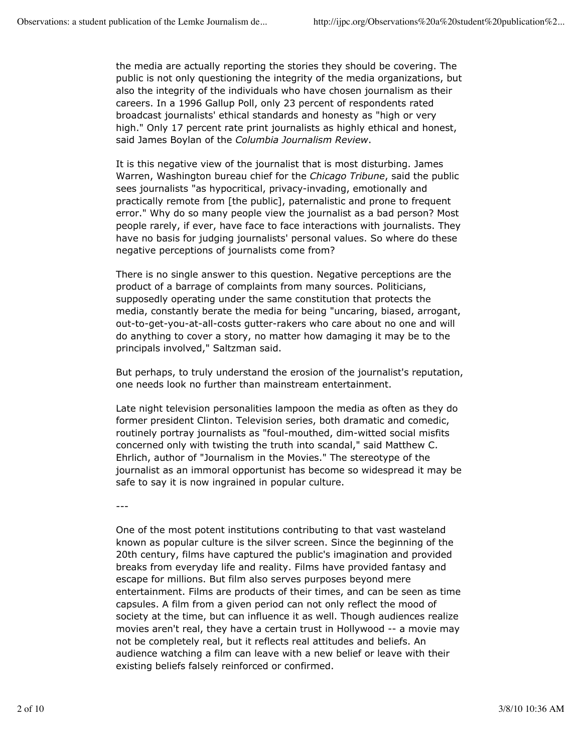the media are actually reporting the stories they should be covering. The public is not only questioning the integrity of the media organizations, but also the integrity of the individuals who have chosen journalism as their careers. In a 1996 Gallup Poll, only 23 percent of respondents rated broadcast journalists' ethical standards and honesty as "high or very high." Only 17 percent rate print journalists as highly ethical and honest, said James Boylan of the *Columbia Journalism Review*.

It is this negative view of the journalist that is most disturbing. James Warren, Washington bureau chief for the *Chicago Tribune*, said the public sees journalists "as hypocritical, privacy-invading, emotionally and practically remote from [the public], paternalistic and prone to frequent error." Why do so many people view the journalist as a bad person? Most people rarely, if ever, have face to face interactions with journalists. They have no basis for judging journalists' personal values. So where do these negative perceptions of journalists come from?

There is no single answer to this question. Negative perceptions are the product of a barrage of complaints from many sources. Politicians, supposedly operating under the same constitution that protects the media, constantly berate the media for being "uncaring, biased, arrogant, out-to-get-you-at-all-costs gutter-rakers who care about no one and will do anything to cover a story, no matter how damaging it may be to the principals involved," Saltzman said.

But perhaps, to truly understand the erosion of the journalist's reputation, one needs look no further than mainstream entertainment.

Late night television personalities lampoon the media as often as they do former president Clinton. Television series, both dramatic and comedic, routinely portray journalists as "foul-mouthed, dim-witted social misfits concerned only with twisting the truth into scandal," said Matthew C. Ehrlich, author of "Journalism in the Movies." The stereotype of the journalist as an immoral opportunist has become so widespread it may be safe to say it is now ingrained in popular culture.

---

One of the most potent institutions contributing to that vast wasteland known as popular culture is the silver screen. Since the beginning of the 20th century, films have captured the public's imagination and provided breaks from everyday life and reality. Films have provided fantasy and escape for millions. But film also serves purposes beyond mere entertainment. Films are products of their times, and can be seen as time capsules. A film from a given period can not only reflect the mood of society at the time, but can influence it as well. Though audiences realize movies aren't real, they have a certain trust in Hollywood -- a movie may not be completely real, but it reflects real attitudes and beliefs. An audience watching a film can leave with a new belief or leave with their existing beliefs falsely reinforced or confirmed.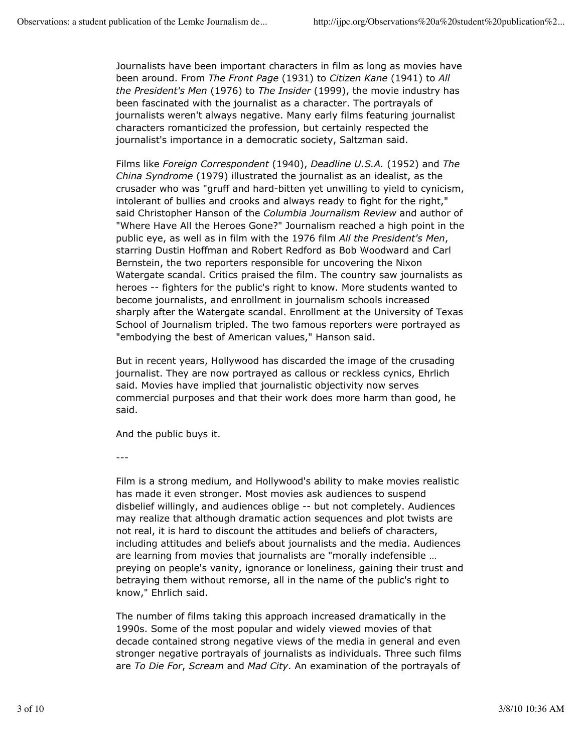Journalists have been important characters in film as long as movies have been around. From *The Front Page* (1931) to *Citizen Kane* (1941) to *All the President's Men* (1976) to *The Insider* (1999), the movie industry has been fascinated with the journalist as a character. The portrayals of journalists weren't always negative. Many early films featuring journalist characters romanticized the profession, but certainly respected the journalist's importance in a democratic society, Saltzman said.

Films like *Foreign Correspondent* (1940), *Deadline U.S.A.* (1952) and *The China Syndrome* (1979) illustrated the journalist as an idealist, as the crusader who was "gruff and hard-bitten yet unwilling to yield to cynicism, intolerant of bullies and crooks and always ready to fight for the right," said Christopher Hanson of the *Columbia Journalism Review* and author of "Where Have All the Heroes Gone?" Journalism reached a high point in the public eye, as well as in film with the 1976 film *All the President's Men*, starring Dustin Hoffman and Robert Redford as Bob Woodward and Carl Bernstein, the two reporters responsible for uncovering the Nixon Watergate scandal. Critics praised the film. The country saw journalists as heroes -- fighters for the public's right to know. More students wanted to become journalists, and enrollment in journalism schools increased sharply after the Watergate scandal. Enrollment at the University of Texas School of Journalism tripled. The two famous reporters were portrayed as "embodying the best of American values," Hanson said.

But in recent years, Hollywood has discarded the image of the crusading journalist. They are now portrayed as callous or reckless cynics, Ehrlich said. Movies have implied that journalistic objectivity now serves commercial purposes and that their work does more harm than good, he said.

And the public buys it.

---

Film is a strong medium, and Hollywood's ability to make movies realistic has made it even stronger. Most movies ask audiences to suspend disbelief willingly, and audiences oblige -- but not completely. Audiences may realize that although dramatic action sequences and plot twists are not real, it is hard to discount the attitudes and beliefs of characters, including attitudes and beliefs about journalists and the media. Audiences are learning from movies that journalists are "morally indefensible … preying on people's vanity, ignorance or loneliness, gaining their trust and betraying them without remorse, all in the name of the public's right to know," Ehrlich said.

The number of films taking this approach increased dramatically in the 1990s. Some of the most popular and widely viewed movies of that decade contained strong negative views of the media in general and even stronger negative portrayals of journalists as individuals. Three such films are *To Die For*, *Scream* and *Mad City*. An examination of the portrayals of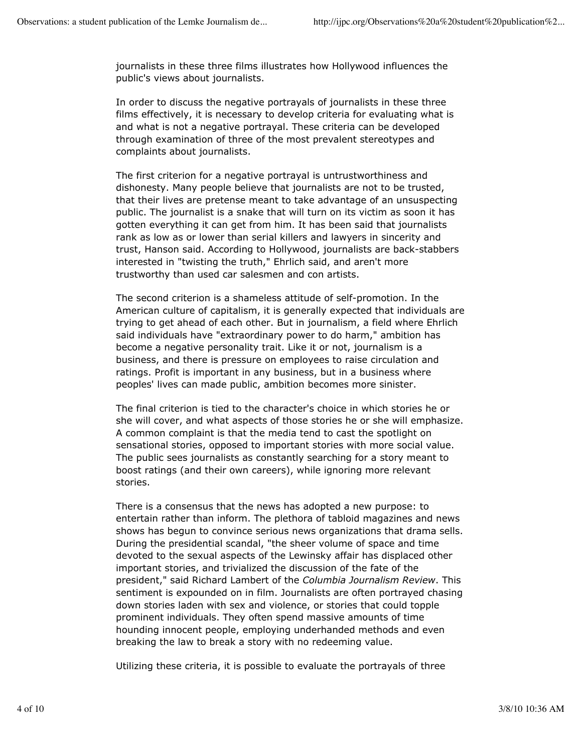journalists in these three films illustrates how Hollywood influences the public's views about journalists.

In order to discuss the negative portrayals of journalists in these three films effectively, it is necessary to develop criteria for evaluating what is and what is not a negative portrayal. These criteria can be developed through examination of three of the most prevalent stereotypes and complaints about journalists.

The first criterion for a negative portrayal is untrustworthiness and dishonesty. Many people believe that journalists are not to be trusted, that their lives are pretense meant to take advantage of an unsuspecting public. The journalist is a snake that will turn on its victim as soon it has gotten everything it can get from him. It has been said that journalists rank as low as or lower than serial killers and lawyers in sincerity and trust, Hanson said. According to Hollywood, journalists are back-stabbers interested in "twisting the truth," Ehrlich said, and aren't more trustworthy than used car salesmen and con artists.

The second criterion is a shameless attitude of self-promotion. In the American culture of capitalism, it is generally expected that individuals are trying to get ahead of each other. But in journalism, a field where Ehrlich said individuals have "extraordinary power to do harm," ambition has become a negative personality trait. Like it or not, journalism is a business, and there is pressure on employees to raise circulation and ratings. Profit is important in any business, but in a business where peoples' lives can made public, ambition becomes more sinister.

The final criterion is tied to the character's choice in which stories he or she will cover, and what aspects of those stories he or she will emphasize. A common complaint is that the media tend to cast the spotlight on sensational stories, opposed to important stories with more social value. The public sees journalists as constantly searching for a story meant to boost ratings (and their own careers), while ignoring more relevant stories.

There is a consensus that the news has adopted a new purpose: to entertain rather than inform. The plethora of tabloid magazines and news shows has begun to convince serious news organizations that drama sells. During the presidential scandal, "the sheer volume of space and time devoted to the sexual aspects of the Lewinsky affair has displaced other important stories, and trivialized the discussion of the fate of the president," said Richard Lambert of the *Columbia Journalism Review*. This sentiment is expounded on in film. Journalists are often portrayed chasing down stories laden with sex and violence, or stories that could topple prominent individuals. They often spend massive amounts of time hounding innocent people, employing underhanded methods and even breaking the law to break a story with no redeeming value.

Utilizing these criteria, it is possible to evaluate the portrayals of three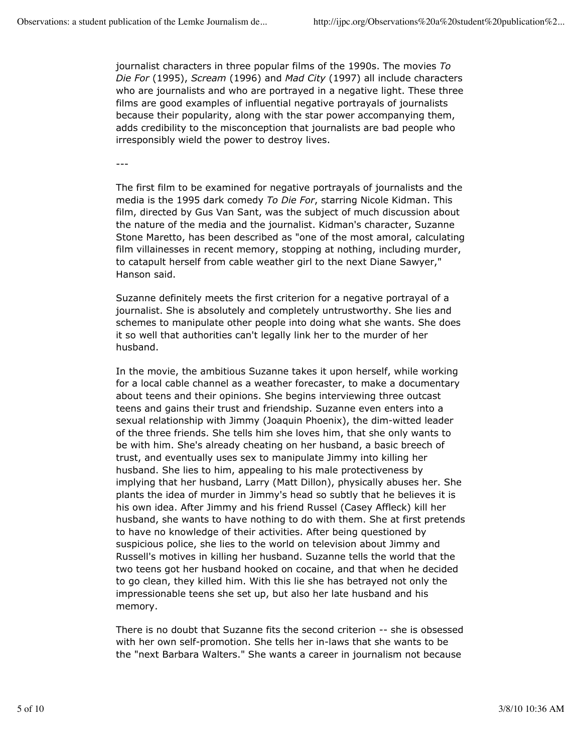journalist characters in three popular films of the 1990s. The movies *To Die For* (1995), *Scream* (1996) and *Mad City* (1997) all include characters who are journalists and who are portrayed in a negative light. These three films are good examples of influential negative portrayals of journalists because their popularity, along with the star power accompanying them, adds credibility to the misconception that journalists are bad people who irresponsibly wield the power to destroy lives.

---

The first film to be examined for negative portrayals of journalists and the media is the 1995 dark comedy *To Die For*, starring Nicole Kidman. This film, directed by Gus Van Sant, was the subject of much discussion about the nature of the media and the journalist. Kidman's character, Suzanne Stone Maretto, has been described as "one of the most amoral, calculating film villainesses in recent memory, stopping at nothing, including murder, to catapult herself from cable weather girl to the next Diane Sawyer," Hanson said.

Suzanne definitely meets the first criterion for a negative portrayal of a journalist. She is absolutely and completely untrustworthy. She lies and schemes to manipulate other people into doing what she wants. She does it so well that authorities can't legally link her to the murder of her husband.

In the movie, the ambitious Suzanne takes it upon herself, while working for a local cable channel as a weather forecaster, to make a documentary about teens and their opinions. She begins interviewing three outcast teens and gains their trust and friendship. Suzanne even enters into a sexual relationship with Jimmy (Joaquin Phoenix), the dim-witted leader of the three friends. She tells him she loves him, that she only wants to be with him. She's already cheating on her husband, a basic breech of trust, and eventually uses sex to manipulate Jimmy into killing her husband. She lies to him, appealing to his male protectiveness by implying that her husband, Larry (Matt Dillon), physically abuses her. She plants the idea of murder in Jimmy's head so subtly that he believes it is his own idea. After Jimmy and his friend Russel (Casey Affleck) kill her husband, she wants to have nothing to do with them. She at first pretends to have no knowledge of their activities. After being questioned by suspicious police, she lies to the world on television about Jimmy and Russell's motives in killing her husband. Suzanne tells the world that the two teens got her husband hooked on cocaine, and that when he decided to go clean, they killed him. With this lie she has betrayed not only the impressionable teens she set up, but also her late husband and his memory.

There is no doubt that Suzanne fits the second criterion -- she is obsessed with her own self-promotion. She tells her in-laws that she wants to be the "next Barbara Walters." She wants a career in journalism not because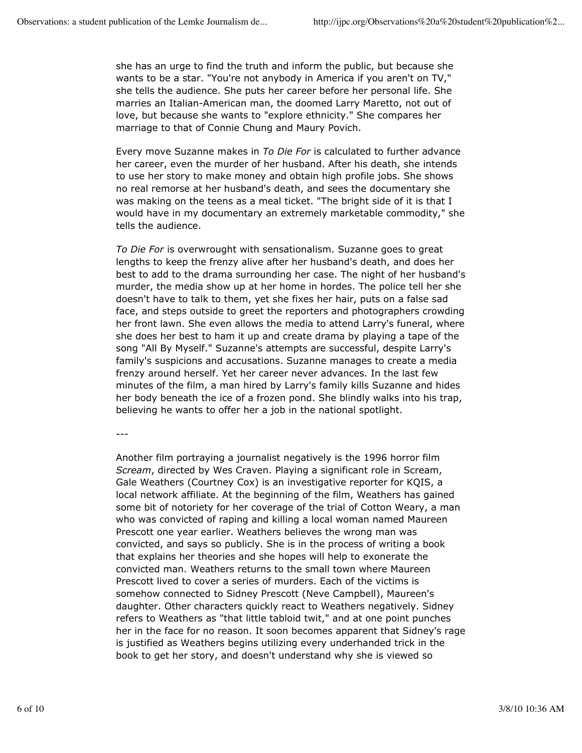she has an urge to find the truth and inform the public, but because she wants to be a star. "You're not anybody in America if you aren't on TV," she tells the audience. She puts her career before her personal life. She marries an Italian-American man, the doomed Larry Maretto, not out of love, but because she wants to "explore ethnicity." She compares her marriage to that of Connie Chung and Maury Povich.

Every move Suzanne makes in *To Die For* is calculated to further advance her career, even the murder of her husband. After his death, she intends to use her story to make money and obtain high profile jobs. She shows no real remorse at her husband's death, and sees the documentary she was making on the teens as a meal ticket. "The bright side of it is that I would have in my documentary an extremely marketable commodity," she tells the audience.

*To Die For* is overwrought with sensationalism. Suzanne goes to great lengths to keep the frenzy alive after her husband's death, and does her best to add to the drama surrounding her case. The night of her husband's murder, the media show up at her home in hordes. The police tell her she doesn't have to talk to them, yet she fixes her hair, puts on a false sad face, and steps outside to greet the reporters and photographers crowding her front lawn. She even allows the media to attend Larry's funeral, where she does her best to ham it up and create drama by playing a tape of the song "All By Myself." Suzanne's attempts are successful, despite Larry's family's suspicions and accusations. Suzanne manages to create a media frenzy around herself. Yet her career never advances. In the last few minutes of the film, a man hired by Larry's family kills Suzanne and hides her body beneath the ice of a frozen pond. She blindly walks into his trap, believing he wants to offer her a job in the national spotlight.

---

Another film portraying a journalist negatively is the 1996 horror film *Scream*, directed by Wes Craven. Playing a significant role in Scream, Gale Weathers (Courtney Cox) is an investigative reporter for KQIS, a local network affiliate. At the beginning of the film, Weathers has gained some bit of notoriety for her coverage of the trial of Cotton Weary, a man who was convicted of raping and killing a local woman named Maureen Prescott one year earlier. Weathers believes the wrong man was convicted, and says so publicly. She is in the process of writing a book that explains her theories and she hopes will help to exonerate the convicted man. Weathers returns to the small town where Maureen Prescott lived to cover a series of murders. Each of the victims is somehow connected to Sidney Prescott (Neve Campbell), Maureen's daughter. Other characters quickly react to Weathers negatively. Sidney refers to Weathers as "that little tabloid twit," and at one point punches her in the face for no reason. It soon becomes apparent that Sidney's rage is justified as Weathers begins utilizing every underhanded trick in the book to get her story, and doesn't understand why she is viewed so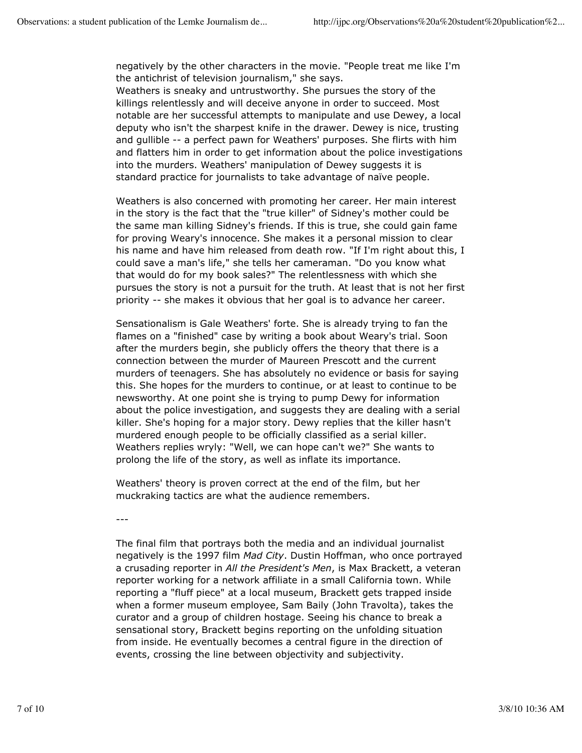negatively by the other characters in the movie. "People treat me like I'm the antichrist of television journalism," she says.

Weathers is sneaky and untrustworthy. She pursues the story of the killings relentlessly and will deceive anyone in order to succeed. Most notable are her successful attempts to manipulate and use Dewey, a local deputy who isn't the sharpest knife in the drawer. Dewey is nice, trusting and gullible -- a perfect pawn for Weathers' purposes. She flirts with him and flatters him in order to get information about the police investigations into the murders. Weathers' manipulation of Dewey suggests it is standard practice for journalists to take advantage of naïve people.

Weathers is also concerned with promoting her career. Her main interest in the story is the fact that the "true killer" of Sidney's mother could be the same man killing Sidney's friends. If this is true, she could gain fame for proving Weary's innocence. She makes it a personal mission to clear his name and have him released from death row. "If I'm right about this, I could save a man's life," she tells her cameraman. "Do you know what that would do for my book sales?" The relentlessness with which she pursues the story is not a pursuit for the truth. At least that is not her first priority -- she makes it obvious that her goal is to advance her career.

Sensationalism is Gale Weathers' forte. She is already trying to fan the flames on a "finished" case by writing a book about Weary's trial. Soon after the murders begin, she publicly offers the theory that there is a connection between the murder of Maureen Prescott and the current murders of teenagers. She has absolutely no evidence or basis for saying this. She hopes for the murders to continue, or at least to continue to be newsworthy. At one point she is trying to pump Dewy for information about the police investigation, and suggests they are dealing with a serial killer. She's hoping for a major story. Dewy replies that the killer hasn't murdered enough people to be officially classified as a serial killer. Weathers replies wryly: "Well, we can hope can't we?" She wants to prolong the life of the story, as well as inflate its importance.

Weathers' theory is proven correct at the end of the film, but her muckraking tactics are what the audience remembers.

---

The final film that portrays both the media and an individual journalist negatively is the 1997 film *Mad City*. Dustin Hoffman, who once portrayed a crusading reporter in *All the President's Men*, is Max Brackett, a veteran reporter working for a network affiliate in a small California town. While reporting a "fluff piece" at a local museum, Brackett gets trapped inside when a former museum employee, Sam Baily (John Travolta), takes the curator and a group of children hostage. Seeing his chance to break a sensational story, Brackett begins reporting on the unfolding situation from inside. He eventually becomes a central figure in the direction of events, crossing the line between objectivity and subjectivity.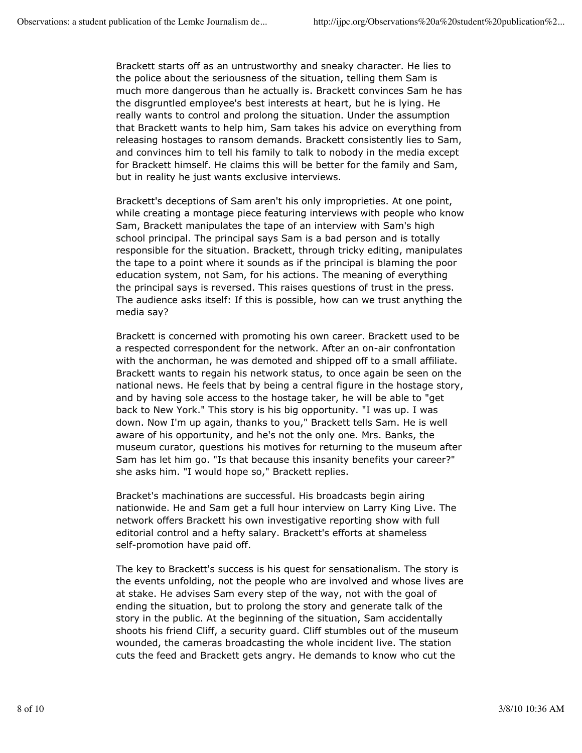Brackett starts off as an untrustworthy and sneaky character. He lies to the police about the seriousness of the situation, telling them Sam is much more dangerous than he actually is. Brackett convinces Sam he has the disgruntled employee's best interests at heart, but he is lying. He really wants to control and prolong the situation. Under the assumption that Brackett wants to help him, Sam takes his advice on everything from releasing hostages to ransom demands. Brackett consistently lies to Sam, and convinces him to tell his family to talk to nobody in the media except for Brackett himself. He claims this will be better for the family and Sam, but in reality he just wants exclusive interviews.

Brackett's deceptions of Sam aren't his only improprieties. At one point, while creating a montage piece featuring interviews with people who know Sam, Brackett manipulates the tape of an interview with Sam's high school principal. The principal says Sam is a bad person and is totally responsible for the situation. Brackett, through tricky editing, manipulates the tape to a point where it sounds as if the principal is blaming the poor education system, not Sam, for his actions. The meaning of everything the principal says is reversed. This raises questions of trust in the press. The audience asks itself: If this is possible, how can we trust anything the media say?

Brackett is concerned with promoting his own career. Brackett used to be a respected correspondent for the network. After an on-air confrontation with the anchorman, he was demoted and shipped off to a small affiliate. Brackett wants to regain his network status, to once again be seen on the national news. He feels that by being a central figure in the hostage story, and by having sole access to the hostage taker, he will be able to "get back to New York." This story is his big opportunity. "I was up. I was down. Now I'm up again, thanks to you," Brackett tells Sam. He is well aware of his opportunity, and he's not the only one. Mrs. Banks, the museum curator, questions his motives for returning to the museum after Sam has let him go. "Is that because this insanity benefits your career?" she asks him. "I would hope so," Brackett replies.

Bracket's machinations are successful. His broadcasts begin airing nationwide. He and Sam get a full hour interview on Larry King Live. The network offers Brackett his own investigative reporting show with full editorial control and a hefty salary. Brackett's efforts at shameless self-promotion have paid off.

The key to Brackett's success is his quest for sensationalism. The story is the events unfolding, not the people who are involved and whose lives are at stake. He advises Sam every step of the way, not with the goal of ending the situation, but to prolong the story and generate talk of the story in the public. At the beginning of the situation, Sam accidentally shoots his friend Cliff, a security guard. Cliff stumbles out of the museum wounded, the cameras broadcasting the whole incident live. The station cuts the feed and Brackett gets angry. He demands to know who cut the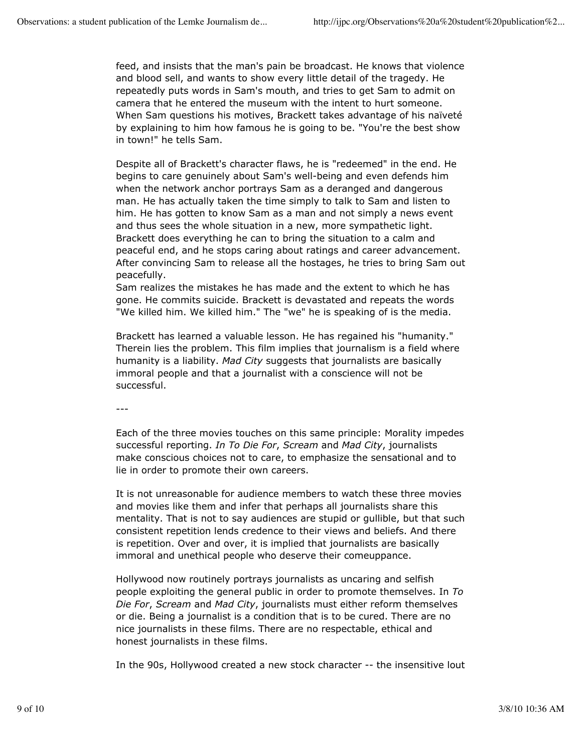feed, and insists that the man's pain be broadcast. He knows that violence and blood sell, and wants to show every little detail of the tragedy. He repeatedly puts words in Sam's mouth, and tries to get Sam to admit on camera that he entered the museum with the intent to hurt someone. When Sam questions his motives, Brackett takes advantage of his naïveté by explaining to him how famous he is going to be. "You're the best show in town!" he tells Sam.

Despite all of Brackett's character flaws, he is "redeemed" in the end. He begins to care genuinely about Sam's well-being and even defends him when the network anchor portrays Sam as a deranged and dangerous man. He has actually taken the time simply to talk to Sam and listen to him. He has gotten to know Sam as a man and not simply a news event and thus sees the whole situation in a new, more sympathetic light. Brackett does everything he can to bring the situation to a calm and peaceful end, and he stops caring about ratings and career advancement. After convincing Sam to release all the hostages, he tries to bring Sam out peacefully.

Sam realizes the mistakes he has made and the extent to which he has gone. He commits suicide. Brackett is devastated and repeats the words "We killed him. We killed him." The "we" he is speaking of is the media.

Brackett has learned a valuable lesson. He has regained his "humanity." Therein lies the problem. This film implies that journalism is a field where humanity is a liability. *Mad City* suggests that journalists are basically immoral people and that a journalist with a conscience will not be successful.

---

Each of the three movies touches on this same principle: Morality impedes successful reporting. *In To Die For*, *Scream* and *Mad City*, journalists make conscious choices not to care, to emphasize the sensational and to lie in order to promote their own careers.

It is not unreasonable for audience members to watch these three movies and movies like them and infer that perhaps all journalists share this mentality. That is not to say audiences are stupid or gullible, but that such consistent repetition lends credence to their views and beliefs. And there is repetition. Over and over, it is implied that journalists are basically immoral and unethical people who deserve their comeuppance.

Hollywood now routinely portrays journalists as uncaring and selfish people exploiting the general public in order to promote themselves. In *To Die For*, *Scream* and *Mad City*, journalists must either reform themselves or die. Being a journalist is a condition that is to be cured. There are no nice journalists in these films. There are no respectable, ethical and honest journalists in these films.

In the 90s, Hollywood created a new stock character -- the insensitive lout